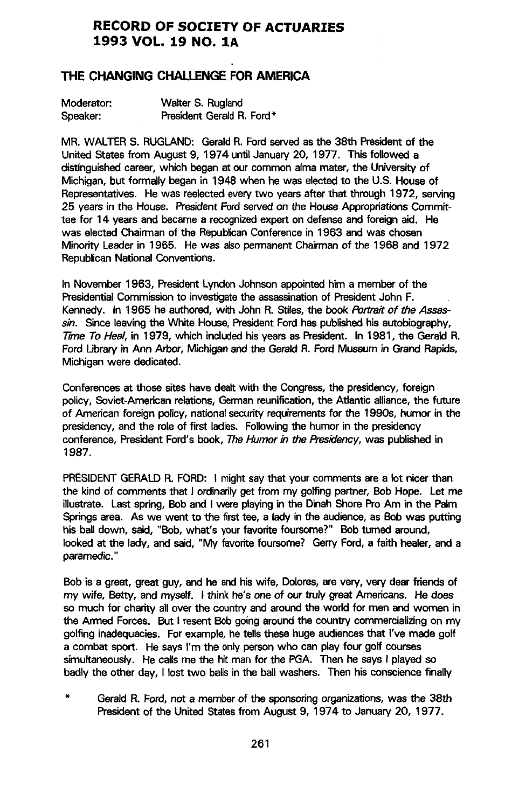# **RECORD OF** SO**CIET**Y **OF ACTUARIE**S **1993 VOL. 19 NO. 1A**

# **THE CHANGING CHALLENGE FOR AMERICA**

| Moderator: | Walter S. Rugland         |
|------------|---------------------------|
| Speaker:   | President Gerald R. Ford* |

**MR. WALTER S. RUGLAN**D**: GeraldR. Ford servedas the 38th** Pr**esidentof the United St**at**es from August 9, 1974 untilJanuary 20, 1977**. **This followed a distinguished**c**areer, whi**c**h began at ourcommon alma** m**ater, the Universityof Mi**c**higan, but formally began in 1948 when he was ele**c**t**ed **to** th**e U**.**S. Hou**se **of Representatives.** He was reelected every two years after that through 1972, serving **25 years in the Hous**e. **Pre**s**id**e**ntFord**se**rv**ed**on the H**o**useAppr**o**priationsCo**mmit**tee for 14 years and be**c**a**m**e a re**c**ogniz**ed**expert on defen**se **and foreign aid. He was el**ec**t**ed **Chairmanof the Republi**c**anConferen**c**ein 1963 a**nd **was cho**se**n Mi**n**ority Leaderin 1965**. **H**e **was also**pe**rmanent Chai**rm**anof th**e **1968 a**nd **1972 Republican National Conventions.** 

In November 1963, President Lyndon Johnson appointed him a member of the Pr**esidentialCo**mm**issionto inve**s**tigate**th**e assassinationof** Pr**esidentJohn F.** Ke**nnedy.** In 1**965** h**e author**e**d, with Jo**h**n R. Sti**l**es,the boo**k Portrait of the Assassin**. Since leaving**th**e White Hous**e**,**P**residentFord haspublishedhis a**ut**obiography, 77**meTo Heal**, in 1979, which includ**ed**hisyears as** Pr**esident. In 1981**, **th**e **G**e**rald R. Ford** U**bra**ry **in Ann Arbor, Michig**a**na**nd **th**e **GeraldR. FordMu**se**um in Grand Rapids**, **Michigan wer**e **d**e**dic**ated**.**

**Conferenc**e**s**at **tho**se **sit**es**have dealtwith the Congr**ess**,th**e **pr**es**id**e**ncy**,**foreign policy, So**vi**et**-**Americanr**e**l**at**ions**,**Germanr**e**unification**th, e **Atlantic alliance,the future o**f **A**m**erican** f**oreign po**l**icy, nationa**l**securityre**q**uirements**f**or** th**e** 1**990s, humor in** t**he presidency,and the role of first ladies. Following**th**e humorin the presidency** conference, President Ford's book, The Humor in the Presidency, was published in 1**987.**

**PRESIDENT GERALD R. FORD: I** might say that your comments are a lot nicer than **th**e **kind of comm**e**nts** that **I ordinar**i**l**y**get** f**rom** m**y golfingpartn**e**r**, **Bob Hope. Let** me **illustrate.** Last spring, Bob and I were playing in the Dinah Shore Pro Am in the Palm **Sp**ri**ngsarea. As we went to** th**e** fi**r**st **t**ee**, a ladyin the audienc**e,**as Bobwas putting**  $h$ is ball down, said, "Bob, what's your favorite foursome?" Bob turned around, **look**ed at **th**e **lady, and** sa**id**, "**M**y f**avoritefoursom**e**? Gerry Ford**,**a fa**it**h healer, a**nd **a param**e**dic.**"

Bob is a great, great guy, and he and his wife, Dolores, are very, very dear friends of **m**y **wi**fe**, B**e**tty, a**nd **m**yse**l**f**. I thin**k **he's** o**n**e **of ourtruly gr**eat **Ame**ri**cans. H**e **do**es so **much for char**i**ty allover** th**e count**ry **and arou**nd th**e world for** m**e**n **and wo**me**n in the Arm**ed **Forces. B**ut **I re**se**nt Bobgoingaroundth**e **count**ry **co**mm**ercializingon m**y **golfinginadequaci**es**. Forexample**,**he tellsthe**se **huge a**ud**ienc**e**s**that **I'v**e m**ade golf a comb**at **s**po**rt. He says I'**m th**e 0nly**pe**rsonwho can play four golf courses si**m**u**l**taneous**l**y. H**e **ca**l**ls**me th**e h**it m**an forth**e **PGA. Th**e**n he says I p**l**ay**ed **so badlythe other day, I losttwo ba**l**lsin the ballwashers. Th**e**n his consciencefinall**y

\* **G**e**ra**l**dR. F**o**rd**, **no**t **a** memb**er o**f **t**he **s**po**nsoringorganiz**at**ions,wa**s the **38th President of the United States from August 9, 1974 to January 20, 1977.**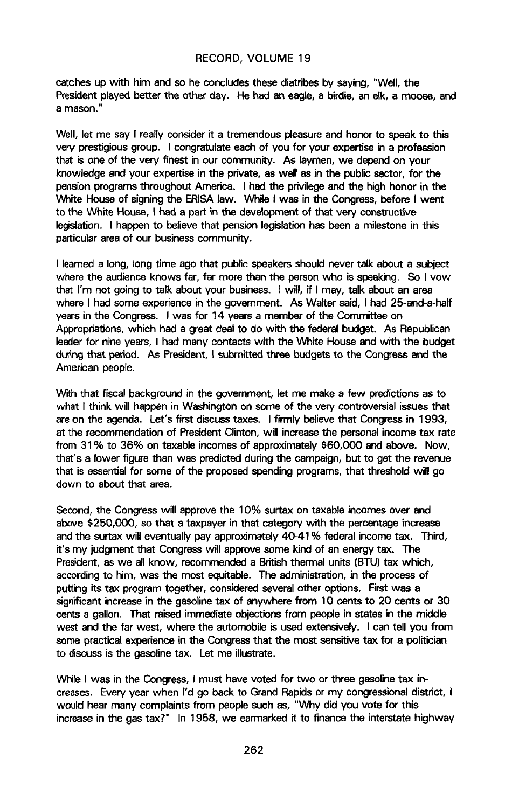cat**ches u**p with **hi**m **a**nd **s**o **he con**clud**es t**h**ese** d**ia**tri**b**es **b**y sayin**g**, "W**ell**, th**e** President played better the other day. He had an eagle, a birdie, an elk, a moose, and **a** m**ason.**"

Well, let me say I really consider it a tremendous pleasure and honor to speak to this  $\nu$ ery prestigious group. I congratulate each of you for your expertise in a profession **t**h**a**t **is o**ne **of** the ve**r**y **fi**nes**t i**n **o**u**r** c**o**mmuni**ty. As lay**men, **w**e depend **o**n **yo**u**r** knowledge and your expertise in the private, as well as in the public sector, for the pension programs throughout America. I had the privilege and the high honor in the White House of signing the ERISA law. While I was in the Congress, before I went t**o** the **Wh**it**e House**, **I** h**ad a part** i**n the develop**me**ntof** th**at** v**e**ry c**on**st**ru**c**tive legislation. I happento believethat pensionl**e**gislationhas been a milestonein this pa**rt**icularar**e**a of our busin**e**sscom**m**unity.**

I **lea**rn**eda long, longti**m**e ago that publics**pe**akersshouldn**e**v**e**r talk abo**ut **a subj**e**ct where the audienc**e**knows far, far more** th**an** th**e personwho is s**pe**aking. So I vow that I**'m n**ot going to talk about** y**our business. I will, if I** m**ay**, ta**lk abo**ut **an area wh**e**re I had some** e**xp**e**riencein the governme**n**t. As Wait**e**r said, I had 25**-**and**-**a-ha**lf y**ears in the Congress. I was** f**or** 1**4** y**ears a m**e**m**be**r of the** C**om**m**ittee on Approp**ri**ations**,**which had a great** d**eal to do with** the **fed**e**ral b**ud**get. As Republican l**e**aderfor nin**ey**ears, I had man**y **contacts with the Whi**te **House and w**it**h the b**ud**get** d**ur**ing **th**at period. As **Pres**id**ent**,I **s**ubmitted th**r**ee bud**gets** to th**e Co**ng**re**ss **a**n**d t**he American p**e**ople.

With that fiscal background in the government, let me make a few predictions as to what I think will happen in Washin**g**ton on some of the very controversial issues that ar**e**on the agenda. Let's first discuss taxes. I firmly believe that Congress in 1993, at the recommendation of Pre**s**ident Clinton, will increase the personal income tax rate from 31% to 36% on taxable incomes of approximately \$60,000 and above. Now, that's a lower figure than was predicted during the campaign, but to get the revenu**e** that is essential for some of the propo**s**ed spending programs, that threshold **w**ill **g**o down to about that area.

Second, the Congr**e**ss will approve the 10% surtax on taxable incomes over and **abo**v**e** \$2**5**0,0**00**, **so t**hat **a tax**p**ay**e**r inth**at categ**o**ry **wit**h **th**e **p**e**rc**e**ntagei**n**crease andthe surtaxwill ev**e**ntually pay approximat**e**ly40-4**1**% f**ede**ral incomet**ax**. Third, it's** my judgment that Congress will approve some kind of an energy tax. The **President, as we all know, recommended a British thermal units (BTU) tax which, accordingto him**, **was the** m**ost** e**quitable. Th**e **administr**at**ion,in th**e **process of puttingits tax progra**m **tog**e**ther, consider**ed**s**e**v**e**ralo**th**er options. Firstwas a significantincrea**se**in th**e **gasolin**e**tax of anywh**e**r**e **fro**m **10 centsto 20 cents or 30 centsa gallon. That rais**e**d imm**e**di**ate**obj**e**ctionsfrom** p**eople in** state**s in the middle west andth**e **far w**e**st, where the automobileis us**e**d** e**xt**e**nsively. I cant**e**ll you from somepractica**l**expe**rie**n**c**e i**n th**e Co**n**gr**ess **t**h**at the** m**o**st se**nsitivet**ax f**o**r **a politicia**n **to discu**ssis **the ga**so**linetax**. L**et m**e **illustr**at**e.**

**While I** was in the Congress, I must have voted for two or three gasoline tax in**creases. Every y**e**ar wh**e**n I'd go back to GrandRapidsor** m**y congre**ss**ionaldi**stri**ct, I would hear many complaintsfrom peopl**e**such as,** "**Why did** y**ou vote for this increas**e**i**n **the gas tax?**" **In 1958, we** e**a**rm**ark**ed it **to financeth**e **interstatehighway**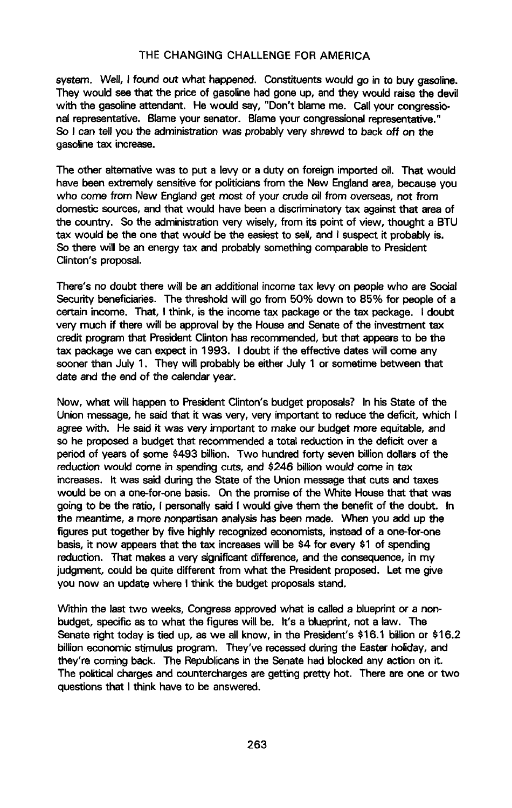syst**em.** We**ll**, I f**ound out** w**h**at **happ**e**n**e**d**. **Co**n**stitu**en**ts**w**ould go in to buy gasoline. They would s**ee **that the priceof gasolinehad gone up, andth**e**y would raise the devil with th**e **gasolin**e**attendant. He would sa**y**,** "**Don**'**t blame me**. **Call your congressionalrepre**se**ntative. Blameyour s**e**nator. Blam**e**your congr**e**ssionalrepre**se**ntative.**" **So I** can tell you the administration was probably very shrewd to back off on the **gasolinetax** i**ncrease.**

**The oth**e**r altern**at**ive was to put a levy or a duty on foreigni**m**port**ed **oil. That would have been extremel**y **sensitivefor po**l**iticiansfrom** th**e New Englandarea, becau**se y**ou who com**e **from N**e**w Englandget mo**s**t of** y**our crudeoil from ov**e**rs**e**a**s**, not from dom**e**sticsourc**e**s**,**and that would hav**e **b**e**en a disc**ri**minatorytax againstth**at **area of** th**e count**ry**. So the ad**m**inistratio**n**ve**ry **wi**se**ly, fro**m **its point of** vi**ew, thought a BTU t**ax **would be** th**e on**e th**at would be th**e **easiestto** se**ll, and** I **suspectit probabl**y **is.** So the**r**e **will b**e **an energy t**ax **and probablysomethingcomparabl**e**to Pr**e**sident Clinton's proposal.** 

There's no doubt there will be an additional income tax levy on people who are Social Security benef**i**ciari**e**s. The thre**s**hold will go from 50% down to 85% for people of **a** ce**r**tain income**.** That, I think, is the income tax packag**e** or the tax packag**e**. I doubt very much if there will be approv**a**l b**y** the House and Senate of the inves**t**ment tax credit program that Pr**es**ident Clinton has recommended, but that appear**s**to be the tax p**ac**ka**g**e w**e** c**a**n expect in 1993. I doubt ff th**e e**ffective dates will come **a**ny sooner than Jul**y** 1. Th**ey** will pr**o**bably be e**i**ther July 1 or som**e**tim**e** betw**e**en th**a**t date a**n**d the end **o**f the calendar **y**ear.

Now, what will happen to President Clinton'**s** budget proposals? In his St**a**t**e** of the Union message, he said th**a**t it w**as** very, very impo**r**tant to reduc**e** the deficit, which I agree with. He sa**i**d it w**a**s very important to make our budget more equit**a**ble, and so he proposed a budget that recommend**e**d a total reduction in the deficit ov**e**r a period of **y**ear**s** of som**e** \$493 billion. Two hundr**e**d forty sev**e**n billi**o**n dol**l**ar**s** of th**e** reduct**i**o**n** would come **i**n **s**pendin**g** cuts, **a**nd \$246 billion w**o**uld come in t**a**x increases. It was said during the St**a**te of the U**n**ion me**s**sag**e** that cut**s a**nd taxes would be on a on**e**-for-on**e** ba**s**is. On the promise of the Whit**e** House that th**a**t w**as** going to be th**e** ratio, I person**a**lly said I w**ou**ld give them the ben**e**fit of th**e** doubt. In **th**e **m**e**ant**ime, **a mo**re **nonpartisanana**ly**sishas b**ee**n** m**ad**e. **Wh**e**n** y**ou add u**p the **figures put together b**y **f**iv**e highly r**ec**ognized**ec**onomists, insteadof a one-for-on**e **basis,it now appears that** th**e tax increa**se**swill be** \$**4 for** e**v**e**n**/\$**1 of spending** *reduction.* That makes a very significant difference, and the consequence, in my **judgment**, **could**be q**uit**e **different fro**m **what the Pre**si**dentproposed. Let** m**e g**ive **you now an upd**ate **where I** th**ink the budget propo**sa**ls**st**and**.

**W**'**rthinth**e **last**tw**o w**ee**ks, Congr**e**ssapprovedwhat i**s **call**ed **a blu**e**pr**i**ntor a nonbudget**, **specific asto what the figur**e**s will** be. it**'s a** b**luep**ri**nt,not a law. The** Se**n**at**e** ri**ght toda**y **is** ti**ed up, as we allknow, in the** Pre**sident**'**s** \$**16.1 billionor** \$**16**.**2 billion**ec**o**n**o**m**ic sti**m**ulusprogra**m**. They'v**e **r**ece**ss**ed**du**ri**ng** th**e East**e**rholiday, a**nd **they're coming back.** Th**e Republicansin the** Se**nat**e **had block**ed **any action on** it**. Th**e po**l**it**ical charges and counterchargesare g**e**tting pretty hot.** Th**ere are on**e **or two questions**that **I think have to be answer**ed**.**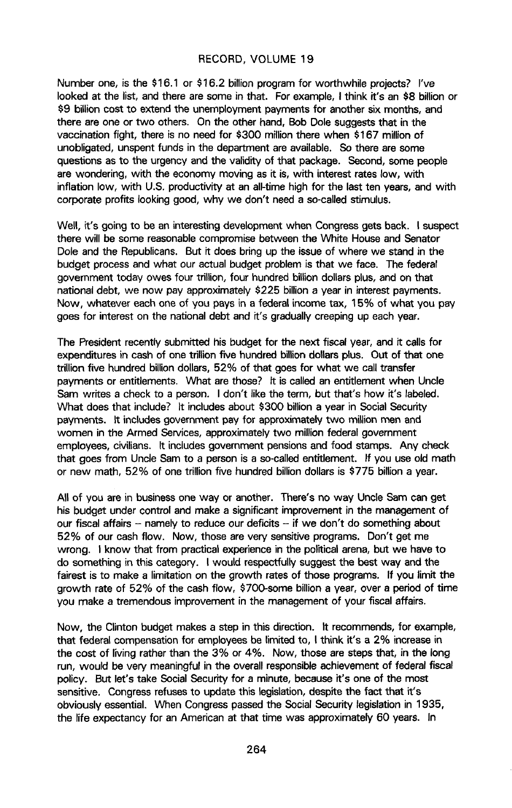Number one, is the \$16.1 or \$16.2 billion program for worthwhile projects? I've looked at the list, and there are some in that. For example, I think it's an \$8 billion or \$9 billion cost to extend the unemployment payments for another six months, and there are one or two others. On the other hand, Bob Dole suggests that in the vaccination fight, there is no need for \$300 million there when \$167 million of unobligated, unspent funds in the department are available. So there are some questions as to the urgency and the validity of that package. S**e**cond, some people are wondering, with the economy moving as it is, with interest rates low, with inflation low, with U.S. productivity at an all-time high for the last ten years, and with corporate profits looking good, why we don't need a so-called stimulus.

Well, **i**t's going to be an interesting development when Congress gets back. I suspect there will be some reasonable compromise between the White House and Senator Dole and the Republicans. But it does bring up the issue of where we stand in the budget process and what our actual budget problem is that we face. The federal **g**overnment today owes four trillion, four hundred billion dolla**r**s plus, and on that national debt, we now pay approximat**e**ly \$225 billion a year in interest paym**e**nts**.** Now, whatever each one of you pa**y**s **i**n a fede**r**al income tax, 15% of w**h**at you pay goes for interest on the national debt and it's gradually creeping up each y**e**ar.

The President recently submitted his bud**g**et for the n**e**xt fiscal year, and it calls for expenditu**r**es **i**n cash of on**e** t**r**illion five hund**r**ed billion dollars plus. Out of that one trillion five hundred billion dollars, 52% of that **g**oes for what we call transfer paym**e**nts or entitlements. What are those? It is called an entitlement when Uncle Sam writ**e**s a check to a person. I don't like the term, but that's how it's **l**abeled**.** What does that include? It includes about \$300 billion a year in Social Security payments. It includes **g**overnment pay fo**r** approximately two million men and women in the Armed Services, approximately two milli**o**n federal **g**overnment emp**lo**y**e**e**s**, civ**ilia**ns**.** It **i**nclude**s go**v**e**rnm**e**nt pen**s**i**o**n**sa**nd food st**a**m**ps**. Any check that **g**oes from Uncle Sam to a person is a so-called entitlement. If you use old math or new math, 52% of one trillion five hundred billion dollar**s** is \$775 billion a year.

A**l**l of you are in bus**i**n**e**ss one way or another. There's **n**o way Uncle Sam c**a**n get his budget under control and make a significant improvement in the management of our fiscal affairs -- namely to reduce our deficits -- if we don't do something about 52% of our cash flow. Now, those are very sensitive programs. Don't get me wrong. I know that from practica**l** exper**i**ence in the po**l**itical arena, but we h**a**ve to do something in this cat**e**gory. I would respec**tf**ully su**g**g**e**st the best way a**n**d the fairest is to make a limitation on the growth rates of those programs. If you limit the growth rate of 52% of the cash flow, \$700-some billion a year, over **a** period of time you make a tremendous improvement in the management of your fiscal affairs.

Now, the Clinton budget makes a step in this direction, it recommends, for example, that federal compensation for employees be limited to, I think it's a 2% increase in the cost of living rather th**a**n the 3% or 4%. Now, tho**s**e are st**e**ps that, in **t**he long run, would be very meaningful in the overall responsibl**e** achievem**e**nt of federal fiscal policy. But let's take Social Security for a minute, bec**a**use it's one of the most sensitive. Congress refuses to update this legislation, d**e**spite the fact that it's obviously essent**i**al. When Congress passed the Social Security legislation in 1935, the life exp**e**ctancy for an American at that time was approximately 60 years. In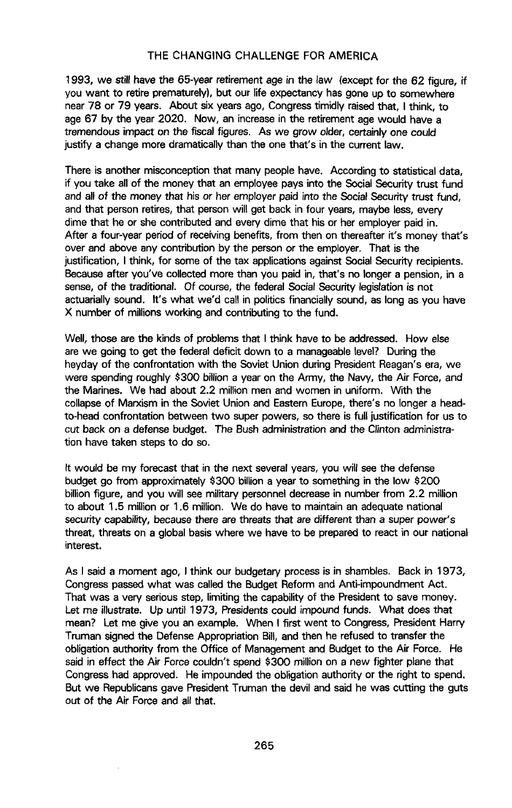1**993,** we st**ill** h**av**e **t**he 6**5**-ye**a**r re**ti**reme**nt a**ge in the l**a**w (exce**pt** f**o**r the **6**2 f**ig**ure, if you want to retire prematur**e**ly), but our life expectancy has gone up to somewhere near 78 or 79 years. About six years ago, Congress timidly raised that, I think, to age 6**7** by the year 2020. Now, an increase in the retirem**e**nt age would have a tremendous imp**a**ct o**n** the fisca**l** figures. As we grow older, certai**n**ly one could justify a change more dramatically than the one that's in the current law.

There is another misconception that many people have. According to statistical data, if you take all of the money that an employee pays into the Social Security trust fund and a**l**l of the money that h**i**s or her employer paid **i**nto the Soc**i**a**l**Security trust fund, and that person retires, that person will g**e**t back in four years, mayb**e** les**s**, every dime that he or **s**he contributed and every dime that his or her employer paid in. After a four-year period of r**e**ceiving benefits, from then on thereafter it's money that's over and above **a**ny contr**i**bution by the person or the employer. That is **t**he justification, I think, for some of the tax applications against Social Security recipients. Because after you've collected more th**a**n you paid in, that's no **l**onger a pens**i**on, in a **s**en**s**e**, o**f the tr**a**ditio**na**l. Of cou**r**se**,** the feder**al** Soc**ia**l Security l**egis**l**a**tioni**s** n**o**t actuarially sound. **I**t's what we'd call in politics financially sound, as l**o**ng as you have X number of million**s** w**o**rking and contributing to the fund.

Well, those are the kinds of problems that I think have to be addressed. How el**s**e are we going to g**e**t the fed**e**ral d**e**ficit down to a man**a**geable level? During the heyd**a**y of the confrontation with the Soviet Union during President Reagan's era, we were spending roughly \$300 bill**i**on a year on the Army, the Navy, the Air Force, and the Marines. We had about 2.2 million men and women in uniform. With the collapse of Marxism in the Soviet Union and Eastern Europe, there's no longer a headto-head confrontation between two super powers, so there is full justification for us to cut back on a defense bud**g**et. The Bush admin**i**stratio**n** and the Clinton administration have taken steps to do so.

It would be my forecast th**a**t **i**n the next several years, you will see the defense budget go from approximately \$300 billion a year to something in the low \$200 billion figure, and you will see military personnel decrease in number from 2.2 million to about 1.**5** million or 1.6 million. We do have to ma**i**ntain an adequ**a**te national security capability, because there are threats that are different than a super power's threat, threats on a **g**lobal basis where we have to be prepared to rea**c**t in our nation**a**l interest.

As I said a moment ago, I think our budgetary process is in shamb**l**es. Back in 1973, Congres**s** passed what was called the Budget Reform and Anti-impoundment Act. That wa**s** a very serious step, limiting the capabil**i**ty of the President to save mon**e**y. Let me illustrate. Up until 1973, Presidents could impound funds**.** What does th**a**t mean? Let me give you an example. When I first went to Congr**e**ss, President Harry Truman signed the Defense Appropriation Bill, and then he refused to transfer the obligatio**n** authority from the Office of Man**a**gement and Budget to the Air Force. He said in effect the Air Force couldn't spend \$300 m**i**llion on a new f**i**ghter plane that Congress had approved. He impounded the obligation authority or the right to spend. But we Republicans gave President Truman the devil and said he was cutting the guts out of the A**i**r Force and all that.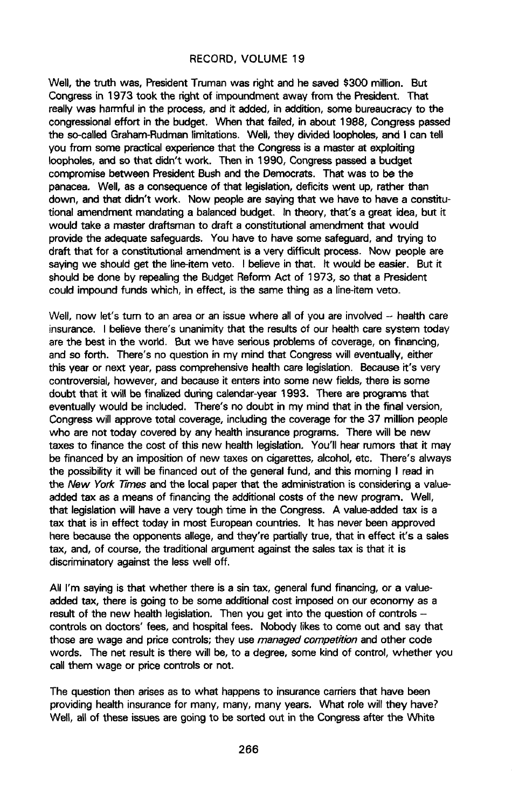W**el**l, the trut**h** w**as,** Pre**sident**Trum**a**n w**as** ri**ght a**n**d he sa**v**e**d \$**3**00 **mi**l**lion. B**ut Congress in 19**7**3 took th**e** r**i**ght of impoundment aw**ay** from th**e** Preside**n**t. Th**a**t really was har**m**ful in the process, and it add**e**d, in addition, some bureaucracy to the congression**a**l effort **i**n the budget. When that f**a**iled, in **a**bout 1988, Con**g**ress pa**ss**ed the **s**o-ca**ll**ed Graham-Rudm**a**n limitations. W**el**l, they divided loophol**es**, **an**d I can te**ll** you from some practical experience that the Congress is a master at exploiting loophol**es**, **a**nd so t**h**at didn't wo**r**k. Th**e**n in 1990, Con**g**r**e**ss passed **a** bud**ge**t compromi**s**e be**t**ween Pre**s**id**e**nt Bush and the Democrats. That wa**s** to be the p**a**nacea. W**e**ll, a**s a** consequence of that legi**s**lati**o**n, deficits went up, rather than down, and that didn't work. Now p**e**op**l**e ar**e** say**i**ng that we have to hav**e** a constitutional amendment m**a**ndating a bal**a**nced bud**g**et. In theo**r**y, that'**s** a gr**e**et id**e**a, but **i**t would tak**e** a master draftsman to dr**a**ft a constitutional amendment th**a**t would provide the **a**dequat**e** safeguards. You have to hav**e** some safegu**a**rd, and trying to dr**a**ft tha**t** for a constit**u**tiona**l** amendment i**s a** v**e**ry difficult p**r**ocess. Now peop**l**e are saying we **s**hould get the line-item veto. I beli**e**ve in that. It would be ea**s**i**e**r. But it should be done by repe**a**ling the Budget Refor**m** Act of 1973, so that a Pr**e**sident could impound funds which, in **e**ffect, is the same thing as a line-**i**tem vet**o**.

Well, now let's turn to an area or an issue where all of you are involved -- health care **i**nsurance. I believe there's unanimity that the results of our health care syst**e**m today are the best in the wor**l**d. **B**ut we have se**r**ious problems of cover**a**g**e**, on fin**a**ncing, and so forth. There's no question in my mind th**a**t Congress will eventu**a**ll**y**, either this year or next year, pass comprehensive h**e**alth care legislation. Becau**se** it's very controversial, however, and because it enters into some new fie**l**ds, ther**e** i**s** some **d**oubt th**a**t it **w**ill be fin**a**lized **d**urin**g** cal**e**nd**a**r-yea**r** 1993. The**r**e are pro**gra**m**s** that eventual**l**y would be inc**l**uded. T**h**ere's no doubt in my mind that in the fin**a**l version, Congress will approve tot**a**l cover**a**ge, including th**e** covera**g**e for the 37 milli**o**n people who are not today covered by any health insurance progr**a**ms**,** Th**e**re will be new taxes to fin**a**nce the co**s**t of this new health legi**s**lation, You'll hear rumors that it may be financed by an imposition of n**e**w taxes on cigarettes, alcohol, etc. There's always the possibility it **w**ill be financed out of the general fund, and **t**his morning I read in the New York Times and the local paper that the administration is considering a valueadded tax **a**s **a** me**a**ns of financing the additional costs of the new program. Well, that legi**s**lation will have a very tough time in the Congress. A value-added tax is a tax that i**s** in effect today in most European countries. It has never been approved here because the opponents allege, and they're partially true, th**a**t **i**n effect it's a s**a**les tax, and, of course, the traditional argument against the sales tax is th**a**t it is discriminatory against the less wel**l** off.

All I'm saying is that whether there is a sin tax, general fund financ**i**ng, or **a** valueadded tax, there is going to be some **a**ddition**a**l cost impos**e**d on our economy as a result of the new he**a**lth legislation. Then you get into the question of controls cont**r**ol**s** on doctor**s**' fees, and ho**s**pit**a**l fe**e**s. Nobod**y** l**i**kes to com**e o**ut and **s**ay that those are wage and pr**i**ce controls; they use managed competition and other cod**e** words. The net result is there will be, to a degree, some kind of control, **w**hether you ca**l**l them wage or price controls or not.

The question then arises as to what happens to insurance carriers that have been providing health insurance for many, many, many years. What role w**i**ll the**y** have**?** We**l**l, all of these issues are going to be sorted out in the Congress after the White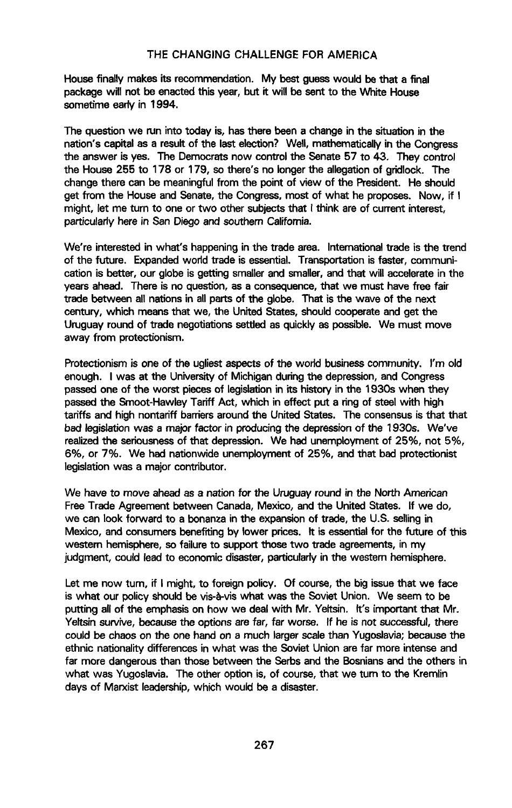**House finally mak**e**sits r**e**commenda**ti**on. My best guess would be that a final packag**e **will not be** e**nactedthis year, but it will be sent to** th**e White Hou**se **so**me**ti**m**e early in** 1**994.**

**The questionwe run into today is**, **has** th**e**re **be**e**n a change in the situatio**n**in** th**e n**at**ion**'**s cap**it**al as a r**e**sultof the last election? Well, mathem**at**icallyin** th**e Congr**e**ss** th**e answer** i**s yes**. **Th**e **D**e**mocratsnow controlth**e **S**e**n**ate **57 to** 4**3**. **The**y **control** th**e House 255 to 178 or 179,** so **there's no long**e**r**th**e allegationof gridl**oc**k. The change there can** be **meaningfulfro**m **the point of view of** th**e Presid**e**nt**. **He should get from** the **Hou**se **and S**e**n**ate, th**e Congr**e**ss**,**most of wh**at **h**e **pro**po**s**e**s. Now, if I might,** l**et** m**e turn to on**e **ortwo other subj**e**ctsth**at I **th**i**nk a**re **of current int**e**rest, partic**ul**ad**y **hare in San Di**e**goa**nd so**uth**ern **Cali**f**o**rn**ia.**

**We're interest**ed **in wh**at**'s happenin**gi**n the trade ar**e**a. International**tr**ade is** th**e trend of the future. Expand**ed**world** tr**ade is esse**nt**ial. Trans**po**rtat**i**on is fa**ste**r**, **co**mm**uni**cation is better, our globe is getting smaller and smaller, and that will accelerate in the **years ah**e**ad. Th**e**re is no question,as a cons**e**quence,th**at **we mu**st **hav**e fr**ee fair** tr**ade betwe**e**n all nationsin all pa**rt**s of** th**e globe**. Th**at is th**e **wave of** th**e n**e**xt c**e**ntury, which means th**at **w**e**, the Un**ited **St**ates, **shouldcooperateand g**e**t** th**e Uruguay round of trade n**eg**otiat**i**ons**se**ttl**ed **as quicklyas** poss**ible. We mu**st **move away** fr**om protection**i**sm.**

Pr**ot**e**ctionismis one of the ugliestasp**e**ctsof th**e **world businesscom**m**unity**. **I'**m **old enough. I was at the Universityof Michigan dur**i**ng**th**e depression,and** C**ongress passed one of th**e **wor**st **pi**e**cesof l**eg**isla**ti**oni**n **it**s h**i**st**ory i**n th**e 1930s wh**e**n** th**ey passed** th**e Smoot-Hawley Tariff Act**, **which i**n e**ff**e**ct p**ut **a ringof** stee**l with high ta**ri**ffs a**nd **highnonta**ri**ff barriersaround**th**e Unit**ed States**.** Th**e con**se**nsus**i**s th**at th**at b**ed **l**eg**islationwa**s **a major** f**actor in producingth**e **depr**ess**iono**f **the** 1**93O**s**. W**e**'ve realizedthe** se**r**i**ous**ness**of** that **depress**i**on**. **We had unemploymentof 25**%**, not 5**%**, 6**%**, or 7**%**. We had nationwideune**m**ployment of 25**%**, and th**at **bad protect**i**oni**st **l**e**gisl**at**ionwas a ma**jo**r contr**i**butor.**

**We hav**e **to move ah**e**ad as a nation fort**he **Uruguay round in the Nor**t**h American Fr**e**eTrade** A**gr**ee**ment b**etw**een Canada**, **M**e**xico**, **a**nd **the Un**ited **St**at**es. If we do**, **we can look forward to a bonanza in**th**e expansionof** trad**e, t**h**e U.S.** se**llingin Mexico, and consumers**be**nef**it**ingb**y **low**e**r pr**i**c**es**. It is essent**i**alfor the future of this w**es**t**ern **he**m**isph**e**re,**so **failureto sup**port th**o**se **two** trad**e agr**eem**ents, in** m**y judgment**, **could l**ead **to** ec**onomicdisa**ste**r,particuladyin** th**e western h**e**mispher**e**.**

**Let** m**e now tu**rn**, if I might, to foreign policy. Of cours**e**,** th**e bigi**ss**ue** that **w**e **fac**e **is what our** po**licy should**be vi**s-**a**-viswh**at **was** th**e Sovi**e**t Union. We see**m **to be putting allof the emphasison how we d**e**al with Mr. Y**elt**sin**. **It**'**s i**mport**ant that Mr**. Yeltsin survive, because the options are far, far worse. If he is not successful, there **could** be **chaos on** the **one ha**nd **on a much larg**e**rscal**e **than Yugosla**vi**a;**be**cau**se th**e ethnic nationalitydiff**e**rencesin what was th**e **Soviet Union arefar more int**e**n**se **and far** m**ore dangerousthan** th**o**se **b**e**tw**ee**n th**e Se**r**b**s and th**e **Bosniansand the oth**e**rs in what was Yugosla**vi**a. Th**e **o**th**er op**ti**on is, of cour**se**, that w**e turn **to the Kremlin da**y**s of Marxi**st **le**ad**ership,which would** be **a di**sast**er.**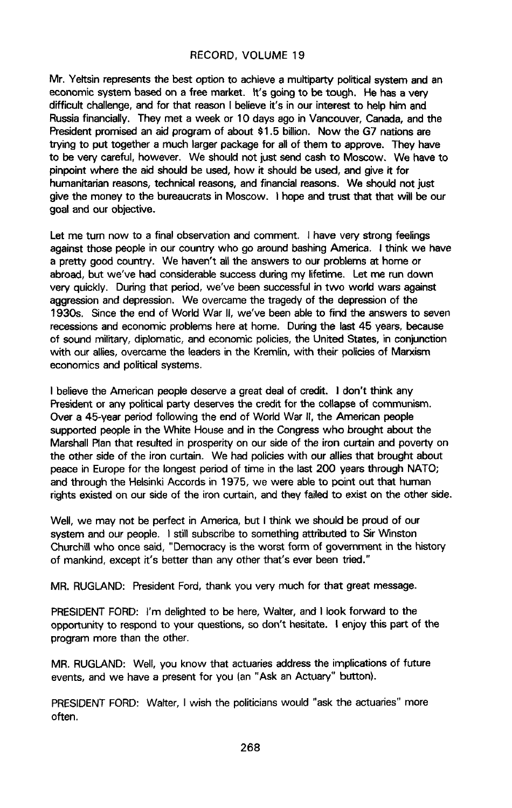Mr. Yeltsin represents the best option to achieve a multiparty political system and an **eco**n**o**m**i**c **s**y**ste**m b**ased o**n **a** f**ree** m**arket,** it'**s go**in**g to be** t**o**u**gh. He has a very difficult challeng**e,**and** f**or that r**e**asonI b**e**lieve**it**'s in our interestto h**e**lp hi**m **and Russiafinancially. Th**e**y** me**t a week or 10 days** a**go inVancouver, Canada, a**nd **the Pr**e**sidentpromis**e**dan aid progra**m **of about** \$**1**.**5 bi**l**lion. Now the G7 nati**o**nsare trying to** put **tog**e**ther a much larger packagefor allo**f **th**e**m to approve**. **Th**e**y hav**e **to** be **v**ery **careful**, **how**e**ver. We shouldnot just send cash to Moscow**. **We hav**e **to pinpoint** where the aid should be used, how it should be used, and give it for  $h$ umanitarian reasons, technical reasons, and financial reasons. We should not just **g**iv**e the money to the bureaucr**at**sin Mos**c**ow. I hopea**nd **tru**st that **that will be our goa**l **a**n**d** ou**r o**b**jec**tive.

**Let m**e **tu**rn **now to a** f**inalobs**e**r**vat**ion and comm**e**nt.** I **hav**e **v**e**ry strongfeelings againstthose p**e**ople i**n **our count**ry **who go around bashing**A**merica**. **I think we hav**e **a pretty good count**ry**. We haven'**t **a**l**l the answersto our proble**m**s** at **home or ab**road, but we**'ve** had c**o**nsi**d**er**a**ble **su**ccess d**u**ri**n**g my l**i**fe**ti**m**e**. Le**t** me **ru**n **dow**n very quickly. During that period, we've been successful in two wo**d**d wars against ag**g**res**s**ion and depression. We overcame the tragedy of the de**p**re**s**sion of the 193Os. Since the end of World War II, we've been able to f**i**nd the answers to seven recessions and economic problems here at home. Du**r**ing the last **4**5 year**s**, bec**a**use of sound military, diplomatic, and economic policies, the United States, in conjunction with our allies, overcame the leaders **i**n the Kreml**i**n, with th**e**ir p**o**l**i**cies of Marxism economics and political systems.

I believe the American people deserve a great deal of credit. I **d**on't think any Presid**e**nt o**r a**ny politi**c**al p**a**rt**y** d**es**erve**s** the c**r**edit for th**e** coll**a**p**se** of com**m**uni**sm**. Over a 45-year period following the end of World War II, the American people supported people in the White House and in the Congress who brought about the Marshall **R**an that resulted in prosperity on our side of the iron curtain **a**nd poverty on the other side of the iron curtain. We had policies with our allies that brought about peace in Europe for the longest period of time in the last 200 **y**ears through NATO; and through the H**e**lsinki Accords in 1975, we were able to point o**u**t that huma**n** ri**g**hts ex**i**sted on our side of the iron curtain, and they failed t**o** ex**i**st on the other side.

Well, we may not be perfect in America, but I think we should be proud of our system and our people. I still subscribe to something attributed to Sir Winston Churchill who once said, "Democracy is th**e** wo**r**st form of government in the history of mankind, except it's better than any other that's ever been **t**ried."

MR. RUGLAND: President Ford, thank you very much for that great message.

PRESIDENT FORD: I'm delighted to be here, Walter, and I look forward to the **oppo**rt**u**nity t**o** respond **to** yo**u**r q**u**esti**o**ns, so **do**n't hesit**at**e. I **enjo**y **t**hi**s** p**a**rt **of the** program more than the other.

MR. RUGLAND: Well, you know that actuaries address the impl**i**cations of future events, and we have a present for you (an "Ask an Actuary" butto**n)**.

PRESIDENT FORD: Walter, I wish the politicians would "ask the actuaries" more often.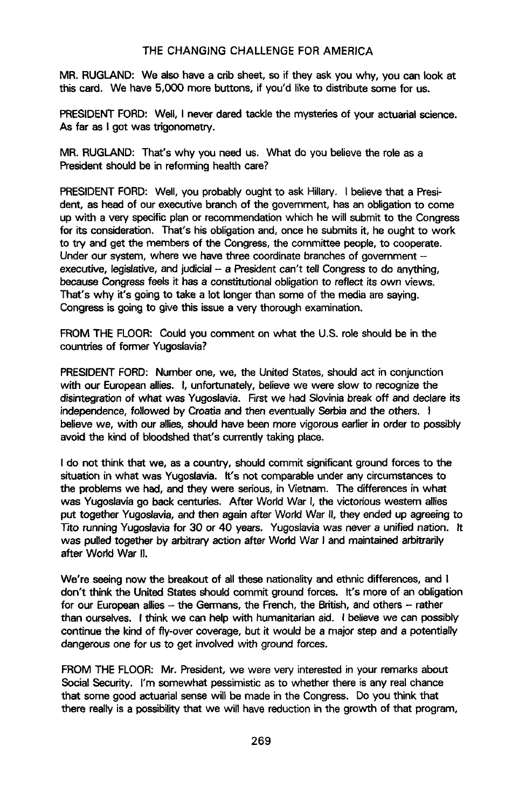M**R**. RUGLAN**D:** W**e a**lso **have a cr**ib **s**heet, so **i**f **t**he**y as**k y**ou why**, **you can** l**ook** at this c**a**rd. We h**a**ve 5,000 mor**e** button**s**, if you'd like to distribute som**e** for u**s**,

PRESI**D**ENTFORD**:** Well, I never dared tackle the myst**e**ries of **y**our actuarial scienc**e**. A**s** f**a**r **as** I got wa**s** tri**g**onometr**y**.

MR. RUGLAND: That's why you need us. What d**o** you believe the role as a President should be in reformin**g** health care?

PRESIDENTFOR**D**: Well, you probably ought to ask Hillary. I believe that a President, a**s** heed of our executiv**e** branch of the government, ha**s** an obligation to come up with a ve**ry** spe**c**if**i**c pl**a**n or recommendation which he will submit to the Congres**s** for it**s** consider**a**tion. That's his obl**iga**tion and, once he submits it, he ought to work to try and get the members of th**e** C**o**ngress, the committee people, to cooperate. Und**e**r our system, where **we** h**a**ve thr**e**e coordinate branches of **g**overnment exec**u**tive, legislative, and judici**a**l - a Presi**d**ent can't tell Congress to do **a**nything, b**e**cau**s**e Con**g**ress feel**s** it ha**s** a constitutio**n**al obligation to reflect its own views. That's why it's **g**oing to take **a l**ot longer than some of th**e** media are saying. Con**g**ress i**s** going to give thi**s** issu**e** a v**ery** thorough ex**a**mination.

FROM THE FLOOR: Could **y**ou comment on what the U.S. role shou**l**d b**e** i**n** the c**o**untries of former Yugoslavia**?**

PRESIDENTFORD: Number one, we, the United St**a**tes, should act in conjunction with our European **a**llies. I, unfortunately, believe we were slow to recognize the di**s**i**n**tegration of what was Yugosl**a**v**i**a. First we had Slov**i**nia break off and declare it**s i**ndependence, followed by Croafdaand the**n** eventually Se**r**bia and the other**s**. I be**l**ieve we, with our **a**llies, should have been more vigorous earlierin order to pos**s**ibly avoid the kind of bloodshed that's currently taking place.

I do not think that we, a**s** a country, s**h**ould commit sign**i**ficant ground forces to the situation in what was Yugoslavia. It's not comparable under any circumstances to the problems we had, and they were se**r**ious, in Vietnam. T**h**e differences in what wa**s** Yu**g**oslavi**a g**o back centuries. After World War I, the victorious western **a**llies put togeth**e**r Yu**g**osl**a**via, and then a**ga**in after World W**a**r II, they ended up agreeing to T**r**to running Yugosl**a**via for 30 or 40 ye**a**rs. Yugoslavia was never a unified nation. It was pulled together by arbitrary action after World War I and maintained arbitrarily after Wo**r**ld W**a**r I**I**.

We're seeing now the br**e**akout of all these nationality **a**nd ethnic difference**s**, and I don't think the United Stat**es** should commit ground forc**e**s. It's more of an obligation for our Europ**e**an **a**llies - th**e** German**s**, the French, the British, and others - rather th**an o**ur**s**elv**es.** I **t**hi**nk we ca**n **he**l**p** with h**u**m**a**nit**a**ri**an a**i**d.** I believe **we ca**n possi**b**ly continue the kind of fly-over coverag**e**, but it would be a major step and a potentially d**a**ngerous one for us to get involved with ground forces.

FROM THE FLOOR: Mr**.** Pres**i**dent, we were very interested in your remark**s** about Soci**a**l Security. I'm somewhat pessimi**s**tic as to whether there is any re**a**l chance that some good actuarial sense will be made in the Congress. Do you think that there r**e**ally is a possibility that we will have reduction in the growth of that pr**o**gr**a**m,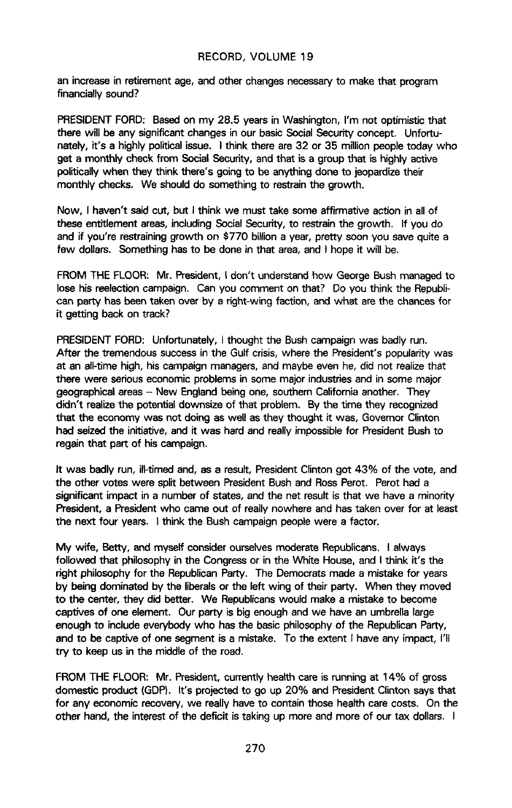an increase in retirement age, and other changes necessary to make that program financi**a**lly **s**ound?

PRESIDENT FORD: Based on my 28.5 years in Washington, I'm not optimistic that there will be any significant chan**g**es **i**n our basic Social Security concept. Unfo**rt**unately, it's a highly political i**s**sue. I think there are 32 or 35 million peopl**e** today who get a monthly check from Social Security, and that is a group that is highly active **political**ly**when they think** th**ere's going to be anythi**n**gdone to jeopard**i**zethe**i**r monthly ch**ec**ks. We shoulddo so**m**e**th**ing to restrainth**e **growth**.

**Now, I hav**e**n't said cut, but I think w**e m**ust tak**e some **a**f**firmativ**e **action in allof** th**es**e e**nt**it**l**em**ent areas,including**So**cial**S**ecurity**,**to re**st**rainth**e **gro**wt**h. If you do and i**f **you're re**st**raininggro**wt**h on** \$**770 bi**ll**iona** y**ear, pretty soon**y**ou save qu**it**e a** f**ew dol**l**ars.** Som**ething has to be done in that area, and I hop**e it **will** b**e.**

**FROM** T**HE F**L**O**O**R: Mr. Pres**id**e**n**t, I d**o**n**'**t u**nde**rstand how** G**eorgeBus**h m**anaged t**o **los**e **his r**e**e**l**ectioncampaign. Can** y**ou comment on that**7 D**o** y**ou thin**k **the R**e**publ**i**ca**n **p**a**rty hasbee**n **take**n **over** b**y a right-wi**ng **fac**t**io**n, **and wh**at **are t**h**e cha**n**ces** f**or** it **ge**t**ting back on track?**

**PRESIDENT FORD:** Unfortunately, I thought the Bush campaign was badly run. A**ft**e**r** t**he tre**me**ndoussuccessin the Gul**f **cris**i**s**,**where** t**h**e **President'spo**p**ular**i**tywas at an a**l**l-tim**e **high**,**his campaign**m**anagers, and ma**y**b**e **even h**e, **did not rea**l**izethat ther**e **were s**e**riousecono**m**icproble**ms **in so**me **majorindustriesand in som**e **major g**e**ogra**p**hicalareas- New Englandb**e**ingon**e**, so**ut**he**rn **Cali**f**o**rn**ia another.** T**hey d**idn'**t** re**alizethe** pot**e**nti**a**l **downsi**ze **o**f th**at** p**ro**bl**e**m. **B**y the ti**m**e **t**h**e**y **r**ec**og**ni**z**ed t**ha**t t**h**e econom**y** wa**s** not doin**g** as well as the**y** thou**g**ht it was, Governor Clinton had **s**eized the initiative, and it wa**s** hard and really **i**mpossible for President Bush to re**g**ain that part of h**i**s camp**ai**gn**.**

It wa**s** badly run, ill-timed and, **a**s a result, President Clinton got 43% of the vote, and the other votes were **s**p**l**it betwe**e**n President Bush and Ross Perot. Perot had a significa**n**t impact in a number of states, and the net result is that we have a minority Pre**s**ident, a Pr**es**ident who came out of really nowh**e**re and has taken over for at least the next four years. I think th**e** Bush campaign people were a fac**t**or.

**My** wif**e**, Bett**y, a**n**d** myself **cons**i**derour**selv**e**s mod**e**rat**e** R**epu**blic**a**n**s. I a**lw**ays** followed that philo**s**oph**y** in the Congress or in the White House, and I think it's the right philosophy for the Republican Party. The Democrats made a mistake for years by bein**g** dominated by the liberals or the left wing of their party. When the**y** moved to the center, they did better. We Republic**a**ns would make a mistake to become captives of one elem**e**nt. Our pa**r**ty **i**s big enough and we have an umbrella l**a**rge enough to include everybody who has the basic philosophy of the Republican Party, and to be captive of one segment is a mistake. To the extent I have any impact, I'll try to keep us in the middle of the road.

F**R**O**M** T**H**E **FL**OO**R: M**r. Pr**es**iden**t**, c**u**r**r**ently he**a**lt**h** c**a**re **i**s runmn**g** at 1**4**% of **gro**ss dome**s**tic product (GDP). It'**s** proje**c**ted to go up 20% and Presid**e**nt Clinto**n** says that for any **e**conomi**c** recovery, we re**a**ll**y** have to contain those health care cos**t**s. On the oth**e**r hand, the interest of the deficit is taking up more and more of our tax dollars. I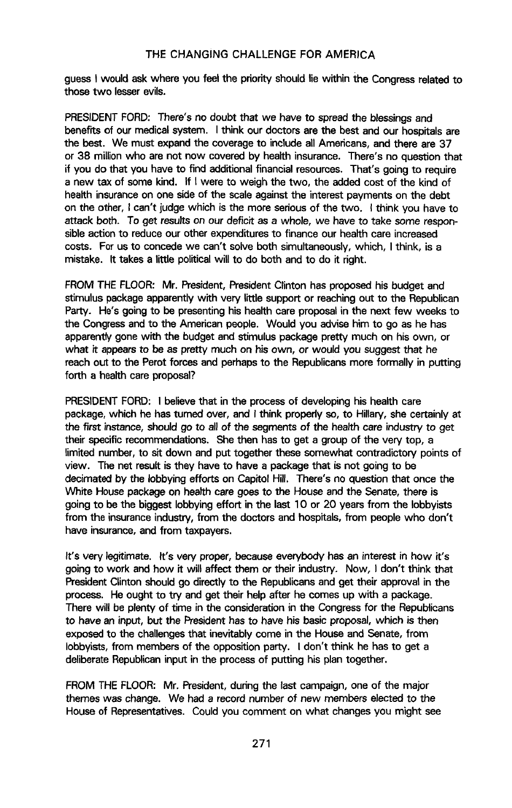guess I would ask where you feel the priority should lie within the Congress related to t**hos**e **two** l**esse**r**ev**il**s.**

**PRES**ID**EN**T**F**O**RD: Ther**e**'s no doubt th**at **we hav**e **to** s**pr**e**adth**e **b**less**ing**s**and benefits** of our medical system. I think our doctors are the best and our hospitals are **the** be**st. We must expandthe coverageto in**c**lud**e **allA**me**ricans, and there a**re **37 or 38 mil**l**ionwho are not now cover**ed **by health insurance. Th**e**r**e**'s no qu**e**stionthat if you do that you hav**e **to find** ad**d**it**ionalfinancialresou**me**s. Th**at**'s going to re**q**uire a new tax of som**e **kind**. **If** I **were to weig**h **the** tw**o, the add**e**d co**st **of the kind of h**e**alth insuranceon one sideof the scaleagainstthe intere**st **payme**n**ts o**n **the debt on the other, I can't judge which is** t**he** m**ore seriousof th**e tw**o**. **I think** y**ou hav**e **to** att**ac**k bo**t**h. T**o g**et re**su**lt**s** o**n** o**u**r def**i**cit a**s** a w**h**ole, we h**av**e to take some re**s**po**n**sible action to reduce our other expenditures to finance our health care increased co**s**ts. F**o**r u**s**to concede we can't solve both simult**a**neous**l**y, which, I think, is a mistake. It takes a little political will to do both and to do it right.

FROM THE FLOOR: Mr. Pre**s**ident, President Clinton has proposed his budget and stimu**l**us packag**e** apparently with very littl**e** support or reaching out to the Republican Party. He's **g**oing to be pres**e**nting his he**a**lth care pr**o**po**s**al in th**e n**ext few weeks to the Congress **a**nd to the American p**e**ople. Would you advi**s**e him to go as he has apparently gone with the budget and stimulus package pretty much on his own, or what it appears to be as pretty much o**n** hi**s** own, or would you suggest that he reach out to the Perot forces and perha**p**s to the Republicans more fo**r**mal**l**y in putting fo**rt**h **a** health care proposal?

**PRESIDENT FORD:** I believe that in the process of developing his health care package, which he has turned over, and I think properly so, to Hillary, she certainly at the fir**s**t **i**nstance, should go to all of the segment**s** of the health care industry to get their sp**e**cific recommendations. She th**e**n has to get a group of th**e** very top, a lim**i**ted number, to sit down and put together these somewhat contradictory points of view. The n**e**t result is they have to have **a** packag**e** that is not going to be **d**ec**i**m**a**ted by the lobbying e**ff**orts on C**a**pitol Hill. There's no question that once the W**h**ite House package on health care goes to the House and th**e** S**e**nate, there is go**i**ng to be the bigg**es**t lobbying effort in the last 10 or 20 years from the lobbyists from the insurance **i**ndustr**y**, from th**e** doct**o**rs and ho**s**pitals, from people who don't hav**e** i**n**surance, and from t**a**x**p**ayers.

It's very legit**i**mate. It'**s** very proper, bec**a**u**s**e everybody ha**s** an interest i**n** how it's going to work and how it will **a**ffect them or the**i**r industry. Now, **I** don't think that President Clinton should go directly to th**e** Republicans and **ge**t their appr**o**va**l** in the process. He ought to try and g**e**t their help af**t**er he **c**omas up with a package. There will be plenty of time in the consider**a**tion in th**e** Congress for the Republicans to have a**n in**p**u**t, but the Pre**s**ident has to hav**e** his bas**i**c pro**p**o**s**al, wh**i**ch is the**n** exposed to th**e** challenges that inevitab**l**y come in the House and Senate, from lobb**y**ists, from members of the opposition party. I don't think he has to get a deliberate Republican input in the process of putti**n**g his plan together.

FROM THE FLOOR**:** Mr. Pres**i**dent, during the last campaign, one of the major themes was cha**n**ge**.** We had a record **n**umber of **n**ew members elected to the House of Representatives. C**o**uld you comment on what changes you might see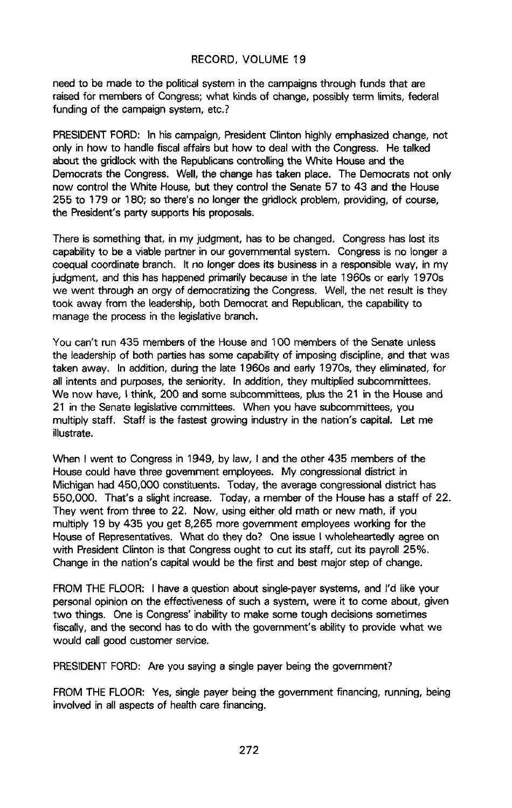need to be made to the political system in the campaigns through funds that are raised for memb**e**rs of Congress; what kinds of cha**n**ge, possibly term limits, fed**e**ral funding of the campaign system, etc.?

PRESIDENT FORD: In his campaign, President Clinton highly emphasized change, not only in how to handle fiscal affairs but how to deal with the Congress. He talked about the gridlock with the Republicans controlling the White House and the Democrats the Congress. Well, the change has taken place. The Democrats not only now control the White House, but they control the Senate 57 to 43 and the House 255 to 179 or 180; so there's no longer the gridlock problem, providing, of course, the President's party supports his proposals.

There is something that, in my judgment, has to be changed. Congress has lost its capability to be a viable partner in our governmental system. Congress is no longer a coequal coordinate branch. It no longer does its business in a responsible way, in my judgment, and this has happened primarily because in the late 1960s or early 1970s we went through an orgy of democratizing the Congress. Well, the net result is they took away from the leadership, both Democrat and Republican, the capability to manage the process in the legislative branch.

You can't run 435 members of the House and 100 members of the Senate un**l**ess the leadership of both parties has some capability of imposing discipline, and that was taken away. In addition, during the late 1960s and early 1970s, they eliminated, for all intents and purposes, the seniority. In addition, they multiplied subcommittees. We now have, I think, 200 and some subcommittees, plus the 21 in the House and 21 in the senate legislative committees. When you have subcommittees, you multiply staff. Staff is the fastest growing industry in the nation's capital. Let me illustrate.

When I went to Congress in 1949, by law, I and the other 435 members of the House could have three government employees. My congressional district in Michigan had 450,000 constituents. Today, the average congressional district has 550,000. That's a slight increase. Today, a member of the House has a staff of 22. They went from three to 22. Now, using either old math or new math, if you multiply 19 by 435 you get 8,265 more government employees working for the House of Representatives. What do they do? One issue I wholeheartedly agree on with President Clinton is that Congress ought to cut its staff, cut its payroll 25%. Change in the nation's capital would be the first and best major step of change.

FROM THE FLOOR: I have a question about single-payer systems, and I'd like your personal opinion on the effectiveness of such a system, were it to come about, given two things. One is Congress' inability to make some tough decisions sometimes fiscally, and the second has to do with the government's ability to provide what we would call good customer service.

PRESIDENT FORD: Are you saying a single payer being the government?

FROM THE FLOOR: Yes, single payer being the government financing, running, being involved in all aspects of health care financing.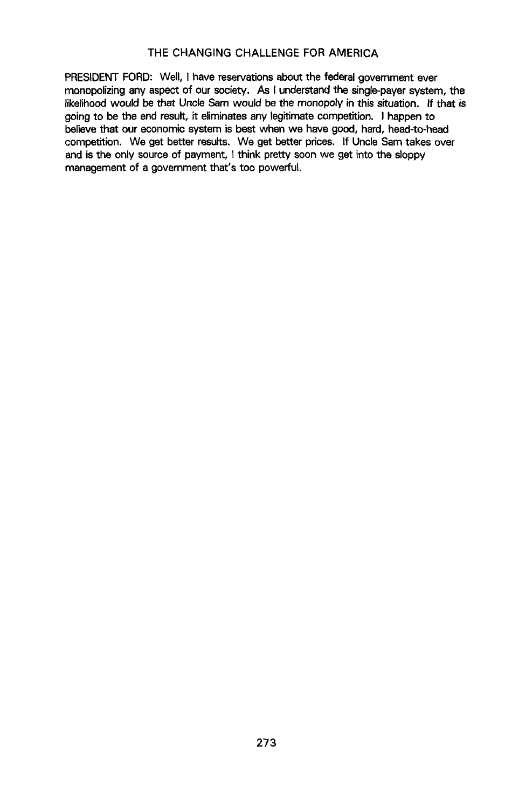PRESIDENT FORD: Well, I have reservations about the federal government ever monopolizing any aspect of our society. As I understand the single-payer system, the likelihood would be that Uncle Sam would be the monopoly in this situation. If that is **go**i**ngto b**e **the** e**nd** re**s**u**lt**, it **el**imi**nates a**n**y l**e**gitim**atec**ompetiti**on. I **happ**e**n to** be**lievethat our** e**cono**m**icsyste**m **is best when we hav**e **good, hard, h**eed**-to-he**ed **co**m**petition. We get better results. We ge**t **be**tt**er pr**i**ces. If Uncle Sa**m **takes over and is the only sourc**e**of payment**, I **think pretty soon we get** i**nto the sloppy management of a gove**rnm**ent that's too pow**erful**.**